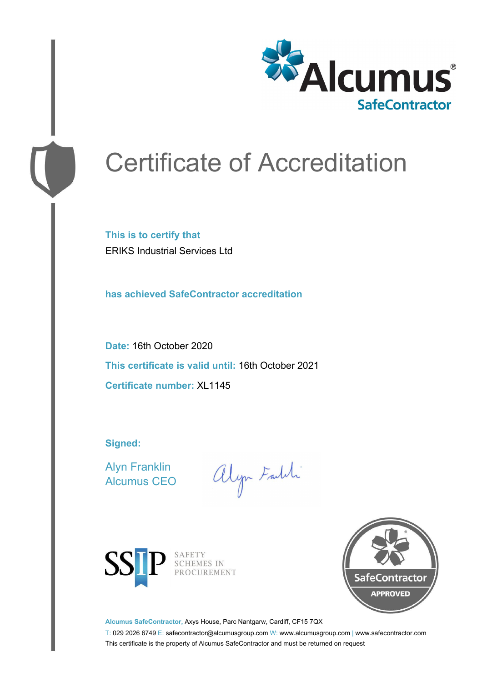

# Certificate of Accreditation

**This is to certify that** ERIKS Industrial Services Ltd

**has achieved SafeContractor accreditation**

**Date:** 16th October 2020 **This certificate is valid until:** 16th October 2021 **Certificate number:** XL1145

**Signed:**

Alyn Franklin Alcumus CEO

alyn Faith



SAFETY<br>SCHEMES IN PROCUREMENT



**Alcumus SafeContractor,** Axys House, Parc Nantgarw, Cardiff, CF15 7QX

T: 029 2026 6749 E: safecontractor@alcumusgroup.com W: www.alcumusgroup.com | www.safecontractor.com This certificate is the property of Alcumus SafeContractor and must be returned on request